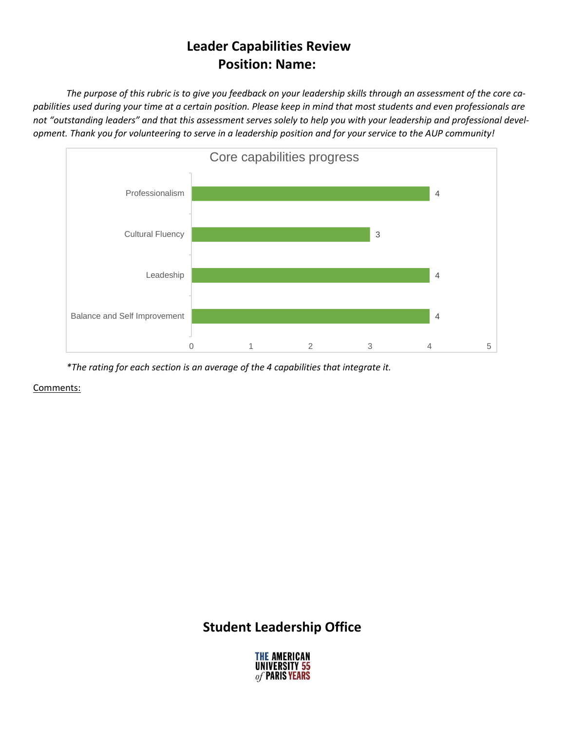## **Leader Capabilities Review Position: Name:**

The purpose of this rubric is to give you feedback on your leadership skills through an assessment of the core capabilities used during your time at a certain position. Please keep in mind that most students and even professionals are not "outstanding leaders" and that this assessment serves solely to help you with your leadership and professional development. Thank you for volunteering to serve in a leadership position and for your service to the AUP community!



*\*The rating for each section is an average of the 4 capabilities that integrate it.*

Comments:

## **Student Leadership Office**

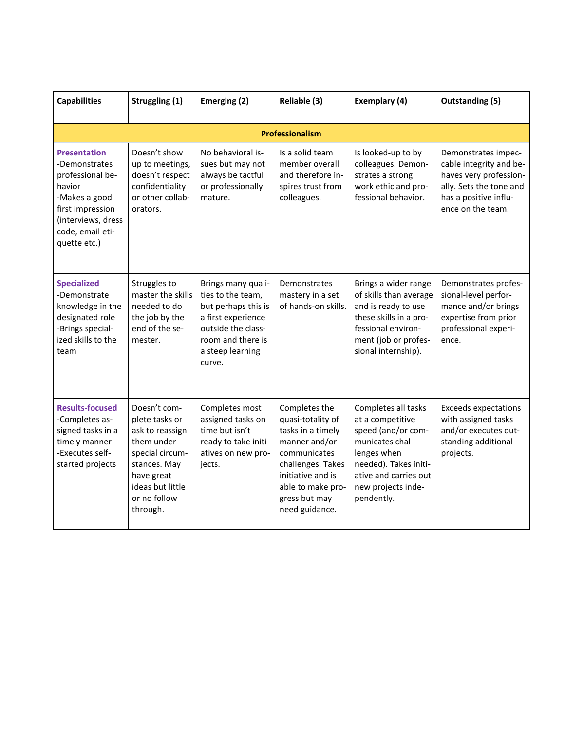| <b>Capabilities</b>                                                                                                                                               | Struggling (1)                                                                                                                                                   | Emerging (2)                                                                                                                                                  | Reliable (3)                                                                                                                                                                               | Exemplary (4)                                                                                                                                                                         | <b>Outstanding (5)</b>                                                                                                                            |
|-------------------------------------------------------------------------------------------------------------------------------------------------------------------|------------------------------------------------------------------------------------------------------------------------------------------------------------------|---------------------------------------------------------------------------------------------------------------------------------------------------------------|--------------------------------------------------------------------------------------------------------------------------------------------------------------------------------------------|---------------------------------------------------------------------------------------------------------------------------------------------------------------------------------------|---------------------------------------------------------------------------------------------------------------------------------------------------|
|                                                                                                                                                                   |                                                                                                                                                                  |                                                                                                                                                               | <b>Professionalism</b>                                                                                                                                                                     |                                                                                                                                                                                       |                                                                                                                                                   |
| <b>Presentation</b><br>-Demonstrates<br>professional be-<br>havior<br>-Makes a good<br>first impression<br>(interviews, dress<br>code, email eti-<br>quette etc.) | Doesn't show<br>up to meetings,<br>doesn't respect<br>confidentiality<br>or other collab-<br>orators.                                                            | No behavioral is-<br>sues but may not<br>always be tactful<br>or professionally<br>mature.                                                                    | Is a solid team<br>member overall<br>and therefore in-<br>spires trust from<br>colleagues.                                                                                                 | Is looked-up to by<br>colleagues. Demon-<br>strates a strong<br>work ethic and pro-<br>fessional behavior.                                                                            | Demonstrates impec-<br>cable integrity and be-<br>haves very profession-<br>ally. Sets the tone and<br>has a positive influ-<br>ence on the team. |
| <b>Specialized</b><br>-Demonstrate<br>knowledge in the<br>designated role<br>-Brings special-<br>ized skills to the<br>team                                       | Struggles to<br>master the skills<br>needed to do<br>the job by the<br>end of the se-<br>mester.                                                                 | Brings many quali-<br>ties to the team,<br>but perhaps this is<br>a first experience<br>outside the class-<br>room and there is<br>a steep learning<br>curve. | Demonstrates<br>mastery in a set<br>of hands-on skills.                                                                                                                                    | Brings a wider range<br>of skills than average<br>and is ready to use<br>these skills in a pro-<br>fessional environ-<br>ment (job or profes-<br>sional internship).                  | Demonstrates profes-<br>sional-level perfor-<br>mance and/or brings<br>expertise from prior<br>professional experi-<br>ence.                      |
| <b>Results-focused</b><br>-Completes as-<br>signed tasks in a<br>timely manner<br>-Executes self-<br>started projects                                             | Doesn't com-<br>plete tasks or<br>ask to reassign<br>them under<br>special circum-<br>stances. May<br>have great<br>ideas but little<br>or no follow<br>through. | Completes most<br>assigned tasks on<br>time but isn't<br>ready to take initi-<br>atives on new pro-<br>jects.                                                 | Completes the<br>quasi-totality of<br>tasks in a timely<br>manner and/or<br>communicates<br>challenges. Takes<br>initiative and is<br>able to make pro-<br>gress but may<br>need guidance. | Completes all tasks<br>at a competitive<br>speed (and/or com-<br>municates chal-<br>lenges when<br>needed). Takes initi-<br>ative and carries out<br>new projects inde-<br>pendently. | <b>Exceeds expectations</b><br>with assigned tasks<br>and/or executes out-<br>standing additional<br>projects.                                    |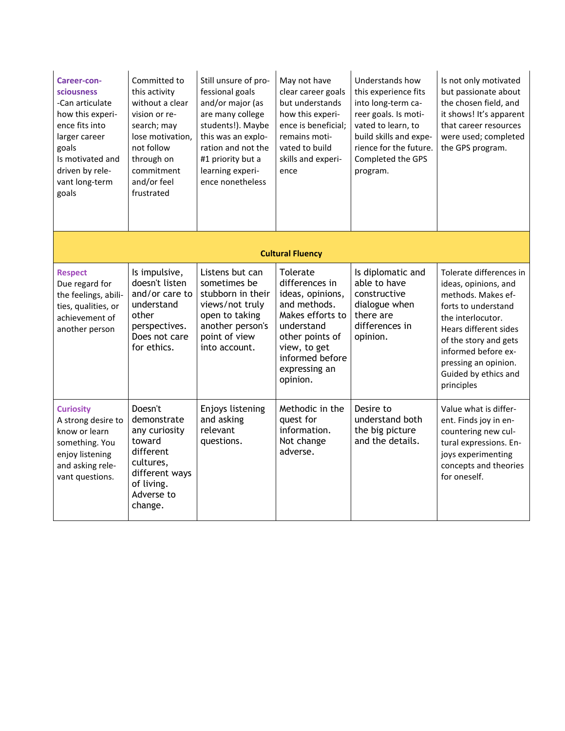| Career-con-<br>sciousness<br>-Can articulate<br>how this experi-<br>ence fits into<br>larger career<br>goals<br>Is motivated and<br>driven by rele-<br>vant long-term<br>goals | Committed to<br>this activity<br>without a clear<br>vision or re-<br>search; may<br>lose motivation,<br>not follow<br>through on<br>commitment<br>and/or feel<br>frustrated | Still unsure of pro-<br>fessional goals<br>and/or major (as<br>are many college<br>students!). Maybe<br>this was an explo-<br>ration and not the<br>#1 priority but a<br>learning experi-<br>ence nonetheless | May not have<br>clear career goals<br>but understands<br>how this experi-<br>ence is beneficial;<br>remains moti-<br>vated to build<br>skills and experi-<br>ence                   | Understands how<br>this experience fits<br>into long-term ca-<br>reer goals. Is moti-<br>vated to learn, to<br>build skills and expe-<br>rience for the future.<br>Completed the GPS<br>program. | Is not only motivated<br>but passionate about<br>the chosen field, and<br>it shows! It's apparent<br>that career resources<br>were used; completed<br>the GPS program.                                                                                   |  |  |  |
|--------------------------------------------------------------------------------------------------------------------------------------------------------------------------------|-----------------------------------------------------------------------------------------------------------------------------------------------------------------------------|---------------------------------------------------------------------------------------------------------------------------------------------------------------------------------------------------------------|-------------------------------------------------------------------------------------------------------------------------------------------------------------------------------------|--------------------------------------------------------------------------------------------------------------------------------------------------------------------------------------------------|----------------------------------------------------------------------------------------------------------------------------------------------------------------------------------------------------------------------------------------------------------|--|--|--|
|                                                                                                                                                                                | <b>Cultural Fluency</b>                                                                                                                                                     |                                                                                                                                                                                                               |                                                                                                                                                                                     |                                                                                                                                                                                                  |                                                                                                                                                                                                                                                          |  |  |  |
| <b>Respect</b><br>Due regard for<br>the feelings, abili-<br>ties, qualities, or<br>achievement of<br>another person                                                            | Is impulsive,<br>doesn't listen<br>and/or care to<br>understand<br>other<br>perspectives.<br>Does not care<br>for ethics.                                                   | Listens but can<br>sometimes be<br>stubborn in their<br>views/not truly<br>open to taking<br>another person's<br>point of view<br>into account.                                                               | Tolerate<br>differences in<br>ideas, opinions,<br>and methods.<br>Makes efforts to<br>understand<br>other points of<br>view, to get<br>informed before<br>expressing an<br>opinion. | Is diplomatic and<br>able to have<br>constructive<br>dialogue when<br>there are<br>differences in<br>opinion.                                                                                    | Tolerate differences in<br>ideas, opinions, and<br>methods. Makes ef-<br>forts to understand<br>the interlocutor.<br>Hears different sides<br>of the story and gets<br>informed before ex-<br>pressing an opinion.<br>Guided by ethics and<br>principles |  |  |  |
| <b>Curiosity</b><br>A strong desire to<br>know or learn<br>something. You<br>enjoy listening<br>and asking rele-<br>vant questions.                                            | Doesn't<br>demonstrate<br>any curiosity<br>toward<br>different<br>cultures,<br>different ways<br>of living.<br>Adverse to<br>change.                                        | Enjoys listening<br>and asking<br>relevant<br>questions.                                                                                                                                                      | Methodic in the<br>quest for<br>information.<br>Not change<br>adverse.                                                                                                              | Desire to<br>understand both<br>the big picture<br>and the details.                                                                                                                              | Value what is differ-<br>ent. Finds joy in en-<br>countering new cul-<br>tural expressions. En-<br>joys experimenting<br>concepts and theories<br>for oneself.                                                                                           |  |  |  |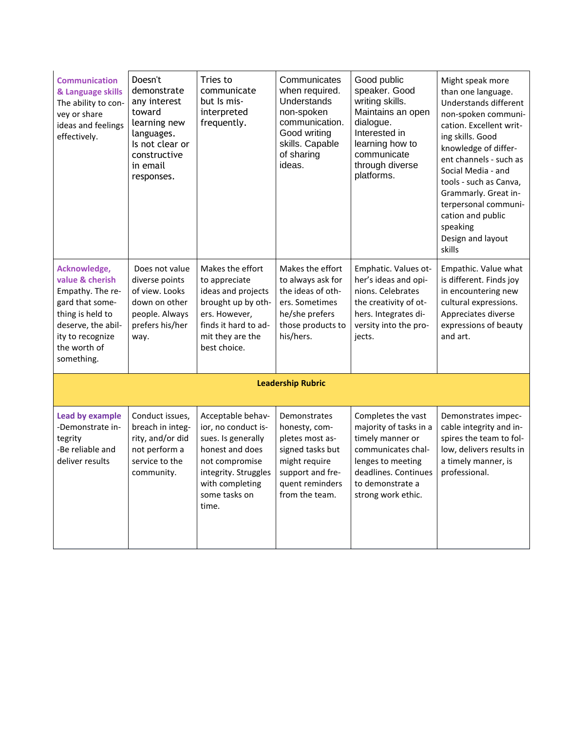| <b>Communication</b><br>& Language skills<br>The ability to con-<br>vey or share<br>ideas and feelings<br>effectively.                                             | Doesn't<br>demonstrate<br>any interest<br>toward<br>learning new<br>languages.<br>Is not clear or<br>constructive<br>in email<br>responses. | Tries to<br>communicate<br>but Is mis-<br>interpreted<br>frequently.                                                                                                     | Communicates<br>when required.<br>Understands<br>non-spoken<br>communication.<br>Good writing<br>skills. Capable<br>of sharing<br>ideas.       | Good public<br>speaker. Good<br>writing skills.<br>Maintains an open<br>dialogue.<br>Interested in<br>learning how to<br>communicate<br>through diverse<br>platforms.         | Might speak more<br>than one language.<br>Understands different<br>non-spoken communi-<br>cation. Excellent writ-<br>ing skills. Good<br>knowledge of differ-<br>ent channels - such as<br>Social Media - and<br>tools - such as Canva,<br>Grammarly. Great in-<br>terpersonal communi-<br>cation and public<br>speaking<br>Design and layout<br>skills |  |
|--------------------------------------------------------------------------------------------------------------------------------------------------------------------|---------------------------------------------------------------------------------------------------------------------------------------------|--------------------------------------------------------------------------------------------------------------------------------------------------------------------------|------------------------------------------------------------------------------------------------------------------------------------------------|-------------------------------------------------------------------------------------------------------------------------------------------------------------------------------|---------------------------------------------------------------------------------------------------------------------------------------------------------------------------------------------------------------------------------------------------------------------------------------------------------------------------------------------------------|--|
| Acknowledge,<br>value & cherish<br>Empathy. The re-<br>gard that some-<br>thing is held to<br>deserve, the abil-<br>ity to recognize<br>the worth of<br>something. | Does not value<br>diverse points<br>of view. Looks<br>down on other<br>people. Always<br>prefers his/her<br>way.                            | Makes the effort<br>to appreciate<br>ideas and projects<br>brought up by oth-<br>ers. However,<br>finds it hard to ad-<br>mit they are the<br>best choice.               | Makes the effort<br>to always ask for<br>the ideas of oth-<br>ers. Sometimes<br>he/she prefers<br>those products to<br>his/hers.               | Emphatic. Values ot-<br>her's ideas and opi-<br>nions. Celebrates<br>the creativity of ot-<br>hers. Integrates di-<br>versity into the pro-<br>jects.                         | Empathic. Value what<br>is different. Finds joy<br>in encountering new<br>cultural expressions.<br>Appreciates diverse<br>expressions of beauty<br>and art.                                                                                                                                                                                             |  |
| <b>Leadership Rubric</b>                                                                                                                                           |                                                                                                                                             |                                                                                                                                                                          |                                                                                                                                                |                                                                                                                                                                               |                                                                                                                                                                                                                                                                                                                                                         |  |
| <b>Lead by example</b><br>-Demonstrate in-<br>tegrity<br>-Be reliable and<br>deliver results                                                                       | Conduct issues,<br>breach in integ-<br>rity, and/or did<br>not perform a<br>service to the<br>community.                                    | Acceptable behav-<br>ior, no conduct is-<br>sues. Is generally<br>honest and does<br>not compromise<br>integrity. Struggles<br>with completing<br>some tasks on<br>time. | Demonstrates<br>honesty, com-<br>pletes most as-<br>signed tasks but<br>might require<br>support and fre-<br>quent reminders<br>from the team. | Completes the vast<br>majority of tasks in a<br>timely manner or<br>communicates chal-<br>lenges to meeting<br>deadlines. Continues<br>to demonstrate a<br>strong work ethic. | Demonstrates impec-<br>cable integrity and in-<br>spires the team to fol-<br>low, delivers results in<br>a timely manner, is<br>professional.                                                                                                                                                                                                           |  |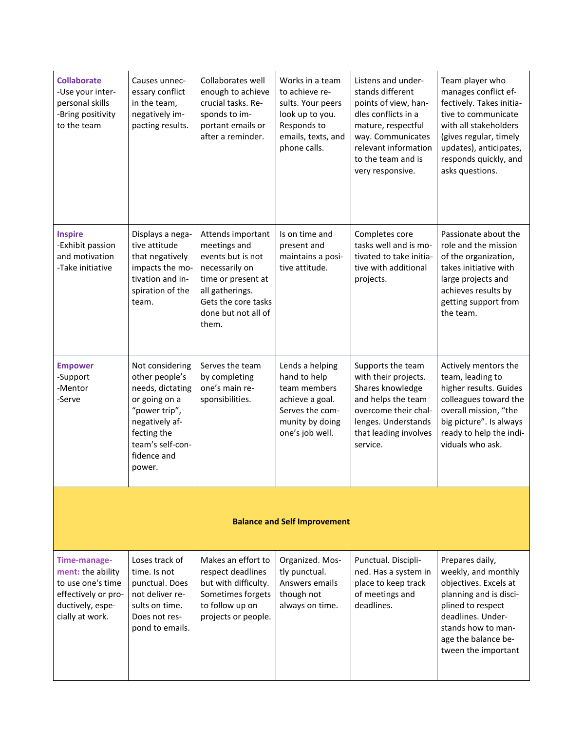| <b>Collaborate</b><br>-Use your inter-<br>personal skills<br>-Bring positivity<br>to the team                        | Causes unnec-<br>essary conflict<br>in the team,<br>negatively im-<br>pacting results.                                                                                | Collaborates well<br>enough to achieve<br>crucial tasks. Re-<br>sponds to im-<br>portant emails or<br>after a reminder.                                                  | Works in a team<br>to achieve re-<br>sults. Your peers<br>look up to you.<br>Responds to<br>emails, texts, and<br>phone calls. | Listens and under-<br>stands different<br>points of view, han-<br>dles conflicts in a<br>mature, respectful<br>way. Communicates<br>relevant information<br>to the team and is<br>very responsive. | Team player who<br>manages conflict ef-<br>fectively. Takes initia-<br>tive to communicate<br>with all stakeholders<br>(gives regular, timely<br>updates), anticipates,<br>responds quickly, and<br>asks questions. |  |
|----------------------------------------------------------------------------------------------------------------------|-----------------------------------------------------------------------------------------------------------------------------------------------------------------------|--------------------------------------------------------------------------------------------------------------------------------------------------------------------------|--------------------------------------------------------------------------------------------------------------------------------|----------------------------------------------------------------------------------------------------------------------------------------------------------------------------------------------------|---------------------------------------------------------------------------------------------------------------------------------------------------------------------------------------------------------------------|--|
| <b>Inspire</b><br>-Exhibit passion<br>and motivation<br>-Take initiative                                             | Displays a nega-<br>tive attitude<br>that negatively<br>impacts the mo-<br>tivation and in-<br>spiration of the<br>team.                                              | Attends important<br>meetings and<br>events but is not<br>necessarily on<br>time or present at<br>all gatherings.<br>Gets the core tasks<br>done but not all of<br>them. | Is on time and<br>present and<br>maintains a posi-<br>tive attitude.                                                           | Completes core<br>tasks well and is mo-<br>tivated to take initia-<br>tive with additional<br>projects.                                                                                            | Passionate about the<br>role and the mission<br>of the organization,<br>takes initiative with<br>large projects and<br>achieves results by<br>getting support from<br>the team.                                     |  |
| <b>Empower</b><br>-Support<br>-Mentor<br>-Serve                                                                      | Not considering<br>other people's<br>needs, dictating<br>or going on a<br>"power trip",<br>negatively af-<br>fecting the<br>team's self-con-<br>fidence and<br>power. | Serves the team<br>by completing<br>one's main re-<br>sponsibilities.                                                                                                    | Lends a helping<br>hand to help<br>team members<br>achieve a goal.<br>Serves the com-<br>munity by doing<br>one's job well.    | Supports the team<br>with their projects.<br>Shares knowledge<br>and helps the team<br>overcome their chal-<br>lenges. Understands<br>that leading involves<br>service.                            | Actively mentors the<br>team, leading to<br>higher results. Guides<br>colleagues toward the<br>overall mission, "the<br>big picture". Is always<br>ready to help the indi-<br>viduals who ask.                      |  |
| <b>Balance and Self Improvement</b>                                                                                  |                                                                                                                                                                       |                                                                                                                                                                          |                                                                                                                                |                                                                                                                                                                                                    |                                                                                                                                                                                                                     |  |
| Time-manage-<br>ment: the ability<br>to use one's time<br>effectively or pro-<br>ductively, espe-<br>cially at work. | Loses track of<br>time. Is not<br>punctual. Does<br>not deliver re-<br>sults on time.<br>Does not res-<br>pond to emails.                                             | Makes an effort to<br>respect deadlines<br>but with difficulty.<br>Sometimes forgets<br>to follow up on<br>projects or people.                                           | Organized. Mos-<br>tly punctual.<br>Answers emails<br>though not<br>always on time.                                            | Punctual. Discipli-<br>ned. Has a system in<br>place to keep track<br>of meetings and<br>deadlines.                                                                                                | Prepares daily,<br>weekly, and monthly<br>objectives. Excels at<br>planning and is disci-<br>plined to respect<br>deadlines. Under-<br>stands how to man-<br>age the balance be-<br>tween the important             |  |